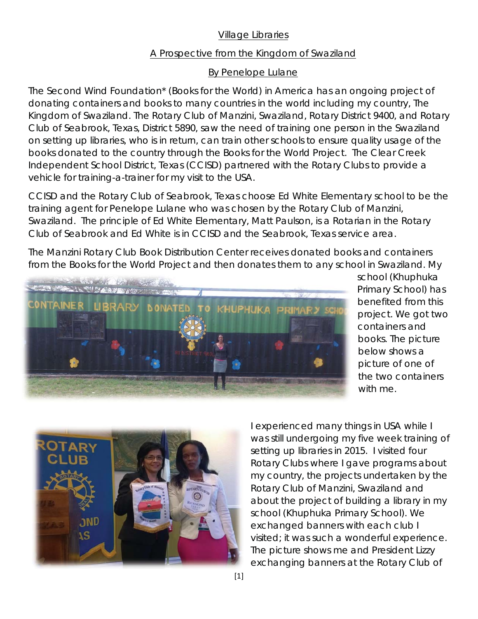## Village Libraries

## A Prospective from the Kingdom of Swaziland

## By Penelope Lulane

The Second Wind Foundation\* (Books for the World) in America has an ongoing project of donating containers and books to many countries in the world including my country, The Kingdom of Swaziland. The Rotary Club of Manzini, Swaziland, Rotary District 9400, and Rotary Club of Seabrook, Texas, District 5890, saw the need of training one person in the Swaziland on setting up libraries, who is in return, can train other schools to ensure quality usage of the books donated to the country through the Books for the World Project. The Clear Creek Independent School District, Texas (CCISD) partnered with the Rotary Clubs to provide a vehicle for training-a-trainer for my visit to the USA.

CCISD and the Rotary Club of Seabrook, Texas choose Ed White Elementary school to be the training agent for Penelope Lulane who was chosen by the Rotary Club of Manzini, Swaziland. The principle of Ed White Elementary, Matt Paulson, is a Rotarian in the Rotary Club of Seabrook and Ed White is in CCISD and the Seabrook, Texas service area.

The Manzini Rotary Club Book Distribution Center receives donated books and containers from the Books for the World Project and then donates them to any school in Swaziland. My



school (Khuphuka Primary School) has benefited from this project. We got two containers and books. The picture below shows a picture of one of the two containers with me.



I experienced many things in USA while I was still undergoing my five week training of setting up libraries in 2015. I visited four Rotary Clubs where I gave programs about my country, the projects undertaken by the Rotary Club of Manzini, Swaziland and about the project of building a library in my school (Khuphuka Primary School). We exchanged banners with each club I visited; it was such a wonderful experience. The picture shows me and President Lizzy exchanging banners at the Rotary Club of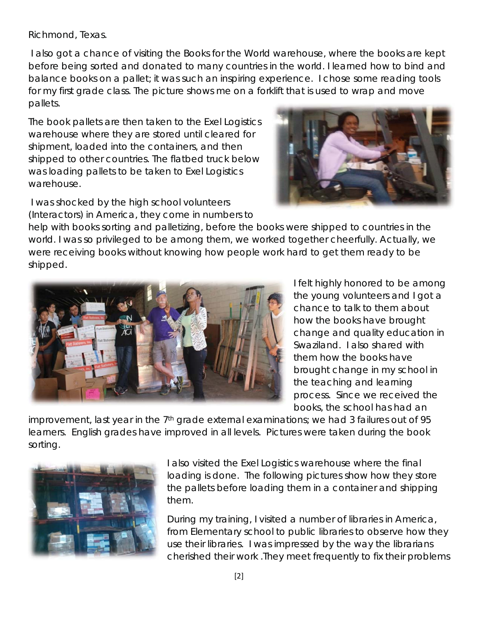Richmond, Texas.

 I also got a chance of visiting the Books for the World warehouse, where the books are kept before being sorted and donated to many countries in the world. I learned how to bind and balance books on a pallet; it was such an inspiring experience. I chose some reading tools for my first grade class. The picture shows me on a forklift that is used to wrap and move pallets.

The book pallets are then taken to the Exel Logistics warehouse where they are stored until cleared for shipment, loaded into the containers, and then shipped to other countries. The flatbed truck below was loading pallets to be taken to Exel Logistics warehouse.

 I was shocked by the high school volunteers (Interactors) in America, they come in numbers to



help with books sorting and palletizing, before the books were shipped to countries in the world. I was so privileged to be among them, we worked together cheerfully. Actually, we were receiving books without knowing how people work hard to get them ready to be shipped.



I felt highly honored to be among the young volunteers and I got a chance to talk to them about how the books have brought change and quality education in Swaziland. I also shared with them how the books have brought change in my school in the teaching and learning process. Since we received the books, the school has had an

improvement, last year in the  $7<sup>th</sup>$  grade external examinations; we had 3 failures out of 95 learners. English grades have improved in all levels. Pictures were taken during the book sorting.



I also visited the Exel Logistics warehouse where the final loading is done. The following pictures show how they store the pallets before loading them in a container and shipping them.

During my training, I visited a number of libraries in America, from Elementary school to public libraries to observe how they use their libraries. I was impressed by the way the librarians cherished their work .They meet frequently to fix their problems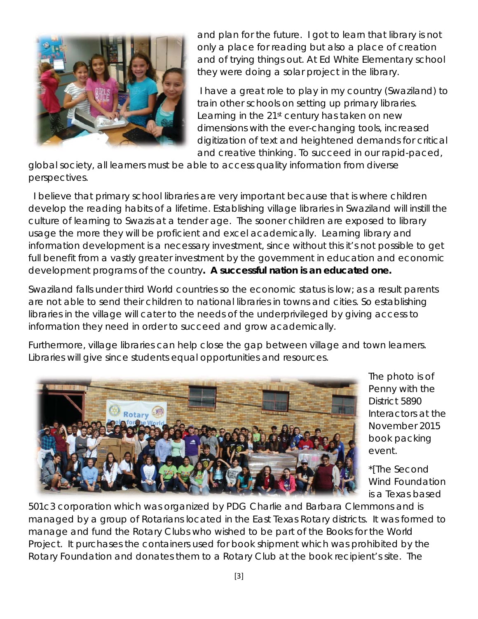

and plan for the future. I got to learn that library is not only a place for reading but also a place of creation and of trying things out. At Ed White Elementary school they were doing a solar project in the library.

 I have a great role to play in my country (Swaziland) to train other schools on setting up primary libraries. Learning in the 21<sup>st</sup> century has taken on new dimensions with the ever-changing tools, increased digitization of text and heightened demands for critical and creative thinking. To succeed in our rapid-paced,

global society, all learners must be able to access quality information from diverse perspectives.

 I believe that primary school libraries are very important because that is where children develop the reading habits of a lifetime. Establishing village libraries in Swaziland will instill the culture of learning to Swazis at a tender age. The sooner children are exposed to library usage the more they will be proficient and excel academically. Learning library and information development is a necessary investment, since without this it's not possible to get full benefit from a vastly greater investment by the government in education and economic development programs of the country**. A successful nation is an educated one.** 

Swaziland falls under third World countries so the economic status is low; as a result parents are not able to send their children to national libraries in towns and cities. So establishing libraries in the village will cater to the needs of the underprivileged by giving access to information they need in order to succeed and grow academically.

Furthermore, village libraries can help close the gap between village and town learners. Libraries will give since students equal opportunities and resources.



The photo is of Penny with the District 5890 Interactors at the November 2015 book packing event.

\*[The Second Wind Foundation is a Texas based

501c3 corporation which was organized by PDG Charlie and Barbara Clemmons and is managed by a group of Rotarians located in the East Texas Rotary districts. It was formed to manage and fund the Rotary Clubs who wished to be part of the Books for the World Project. It purchases the containers used for book shipment which was prohibited by the Rotary Foundation and donates them to a Rotary Club at the book recipient's site. The